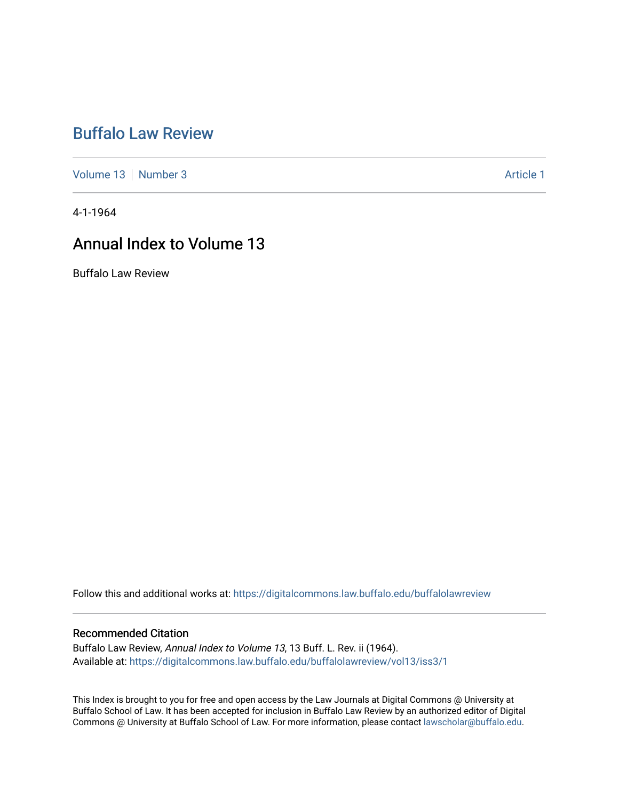# [Buffalo Law Review](https://digitalcommons.law.buffalo.edu/buffalolawreview)

[Volume 13](https://digitalcommons.law.buffalo.edu/buffalolawreview/vol13) [Number 3](https://digitalcommons.law.buffalo.edu/buffalolawreview/vol13/iss3) Article 1

4-1-1964

# Annual Index to Volume 13

Buffalo Law Review

Follow this and additional works at: [https://digitalcommons.law.buffalo.edu/buffalolawreview](https://digitalcommons.law.buffalo.edu/buffalolawreview?utm_source=digitalcommons.law.buffalo.edu%2Fbuffalolawreview%2Fvol13%2Fiss3%2F1&utm_medium=PDF&utm_campaign=PDFCoverPages) 

### Recommended Citation

Buffalo Law Review, Annual Index to Volume 13, 13 Buff. L. Rev. ii (1964). Available at: [https://digitalcommons.law.buffalo.edu/buffalolawreview/vol13/iss3/1](https://digitalcommons.law.buffalo.edu/buffalolawreview/vol13/iss3/1?utm_source=digitalcommons.law.buffalo.edu%2Fbuffalolawreview%2Fvol13%2Fiss3%2F1&utm_medium=PDF&utm_campaign=PDFCoverPages) 

This Index is brought to you for free and open access by the Law Journals at Digital Commons @ University at Buffalo School of Law. It has been accepted for inclusion in Buffalo Law Review by an authorized editor of Digital Commons @ University at Buffalo School of Law. For more information, please contact [lawscholar@buffalo.edu](mailto:lawscholar@buffalo.edu).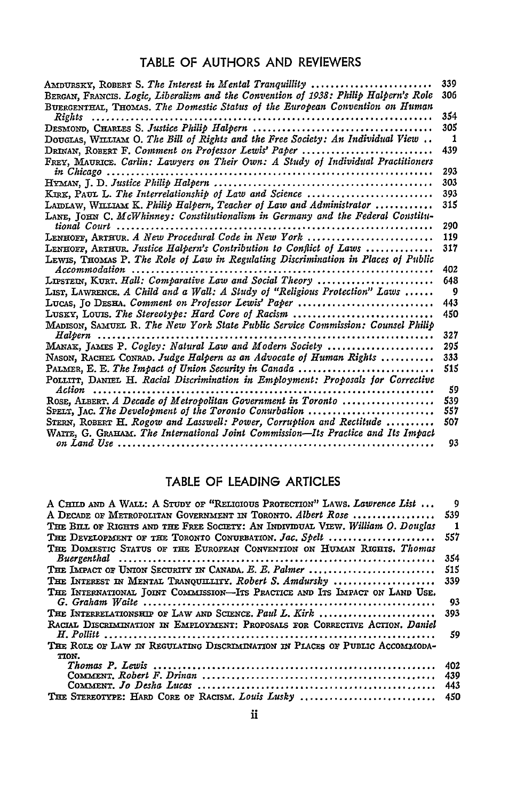### TABLE OF **AUTHORS AND** REVIEWERS

| AMDURSKY, ROBERT S. The Interest in Mental Tranquillity                                    | 339 |
|--------------------------------------------------------------------------------------------|-----|
| BERGAN, FRANCIS. Logic, Liberalism and the Convention of 1938: Philip Halpern's Role       | 306 |
| BUERGENTHAL, THOMAS, The Domestic Status of the European Convention on Human               |     |
| Rights                                                                                     | 354 |
|                                                                                            | 305 |
| DOUGLAS, WILLIAM O. The Bill of Rights and the Free Society: An Individual View $\ldots$   | -1  |
| DRINAN, ROBERT F. Comment on Professor Lewis' Paper                                        | 439 |
| FREY, MAURICE. Carlin: Lawyers on Their Own: A Study of Individual Practitioners           |     |
| in Chicago                                                                                 | 293 |
|                                                                                            | 303 |
| $K_{\text{IRK}}$ , PAUL L. The Interrelationship of Law and Science                        | 393 |
| LAIDLAW, WILLIAM K. Philip Halpern, Teacher of Law and Administrator                       | 315 |
| LANE, JOHN C. McWhinney: Constitutionalism in Germany and the Federal Constitu-            |     |
| tional Court                                                                               | 290 |
| LENHOFF, ARTHUR. A New Procedural Code in New York                                         | 119 |
| LENHOFF, ARTHUR. Justice Halpern's Contribution to Conflict of Laws                        | 317 |
| LEWIS, THOMAS P. The Role of Law in Regulating Discrimination in Places of Public          |     |
|                                                                                            | 402 |
| LIPSTEIN, KURT. Hall: Comparative Law and Social Theory                                    | 648 |
| LIST, LAWRENCE. A Child and a Wall: A Study of "Religious Protection" Laws                 | - 9 |
| LUCAS, JO DESHA, Comment on Professor Lewis' Paper                                         | 443 |
| LUSKY, LOUIS. The Stereotype: Hard Core of Racism                                          | 450 |
| MADISON, SAMUEL R. The New York State Public Service Commission: Counsel Philip            |     |
| $Halpern$                                                                                  | 327 |
| MANAK, JAMES P. Cogley: Natural Law and Modern Society                                     | 295 |
| NASON, RACHEL CONRAD. Judge Halpern as an Advocate of Human Rights                         | 333 |
| PALMER, E. E. The Impact of Union Security in Canada                                       | 515 |
| POLLITT, DANIEL H. Racial Discrimination in Employment: Proposals for Corrective<br>Action | 59  |
| ROSE, ALBERT, A Decade of Metropolitan Government in Toronto                               | 539 |
| $SPELT$ , JAC. The Development of the Toronto Conurbation                                  | 557 |
| STERN, ROBERT H. Rogow and Lasswell: Power, Corruption and Rectitude                       | 507 |
| WAITE, G. GRAHAM. The International Joint Commission—Its Practice and Its Impact           |     |
|                                                                                            | 93  |

### TABLE OF **LEADING** ARTICLES

| A CHILD AND A WALL: A STUDY OF "RELIGIOUS PROTECTION" LAWS. Lawrence List       | 9            |
|---------------------------------------------------------------------------------|--------------|
| A DECADE OF METROPOLITAN GOVERNMENT IN TORONTO. Albert Rose                     | 539          |
| THE BILL OF RIGHTS AND THE FREE SOCIETY: AN INDIVIDUAL VIEW. William O. Douglas | $\mathbf{1}$ |
| THE DEVELOPMENT OF THE TORONTO CONURBATION. Jac. Spelt                          | 557          |
| THE DOMESTIC STATUS OF THE EUROPEAN CONVENTION ON HUMAN RIGHTS. Thomas          | 354          |
| THE IMPACT OF UNION SECURITY IN CANADA. E. E. Palmer                            | 515          |
| THE INTEREST IN MENTAL TRANOUILITY. Robert S. Amdursky                          | 339          |
| THE INTERNATIONAL JOINT COMMISSION-ITS PRACTICE AND ITS IMPACT ON LAND USE.     |              |
|                                                                                 | 93           |
| THE INTERRELATIONSHIP OF LAW AND SCIENCE, Paul L. Kirk                          | 393          |
| RACIAL DISCRIMINATION IN EMPLOYMENT: PROPOSALS FOR CORRECTIVE ACTION. Daniel    |              |
|                                                                                 | 59           |
| THE ROLE OF LAW IN REGULATING DISCRIMINATION IN PLACES OF PUBLIC ACCOMMODA-     |              |
| TION.                                                                           |              |
|                                                                                 | 402          |
|                                                                                 | 439          |
|                                                                                 | 443          |
| THE STEREOTYPE: HARD CORE OF RACISM. Louis Lusky                                | 450          |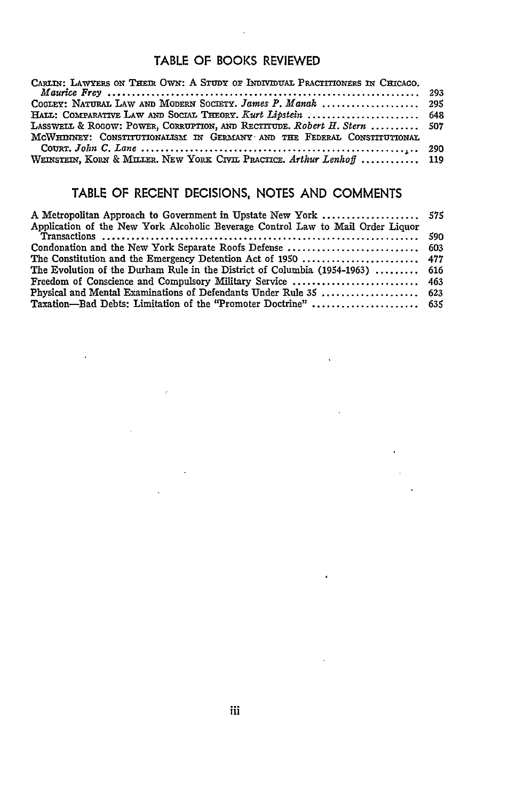### TABLE OF BOOKS REVIEWED

| CARLIN: LAWYERS ON THEIR OWN: A STUDY OF INDIVIDUAL PRACTITIONERS IN CHICAGO. |  |
|-------------------------------------------------------------------------------|--|
|                                                                               |  |
| COGLEY: NATURAL LAW AND MODERN SOCIETY. James P. Manak  295                   |  |
| HALL: COMPARATIVE LAW AND SOCIAL THEORY. Kurt Lipstein  648                   |  |
| LASSWELL & ROGOW: POWER, CORRUPTION, AND RECITTUDE. Robert H. Stern  507      |  |
| MCWHINNEY: CONSTITUTIONALISM IN GERMANY AND THE FEDERAL CONSTITUTIONAL        |  |
|                                                                               |  |
| WEINSTEIN, KORN & MILLER. NEW YORK CIVIL PRACTICE. Arthur Lenhoff  119        |  |

## TABLE OF RECENT DECISIONS, NOTES AND COMMENTS

| Application of the New York Alcoholic Beverage Control Law to Mail Order Liquor |  |
|---------------------------------------------------------------------------------|--|
|                                                                                 |  |
|                                                                                 |  |
|                                                                                 |  |
| The Evolution of the Durham Rule in the District of Columbia (1954-1963)  616   |  |
|                                                                                 |  |
|                                                                                 |  |
|                                                                                 |  |

 $\sim 30$ 

 $\sim$   $\alpha$ 

 $\sim 10^{-11}$ 

 $\sim 10^{-11}$ 

 $\mathbf{v}$  $\ddot{\phantom{0}}$ 

 $\mathcal{L}^{\text{max}}$ 

 $\mathcal{L} = \mathcal{L} \mathcal{L}$  .

 $\mathcal{L}^{\text{max}}_{\text{max}}$  ,  $\mathcal{L}^{\text{max}}_{\text{max}}$ 

 $\sim 10^{-11}$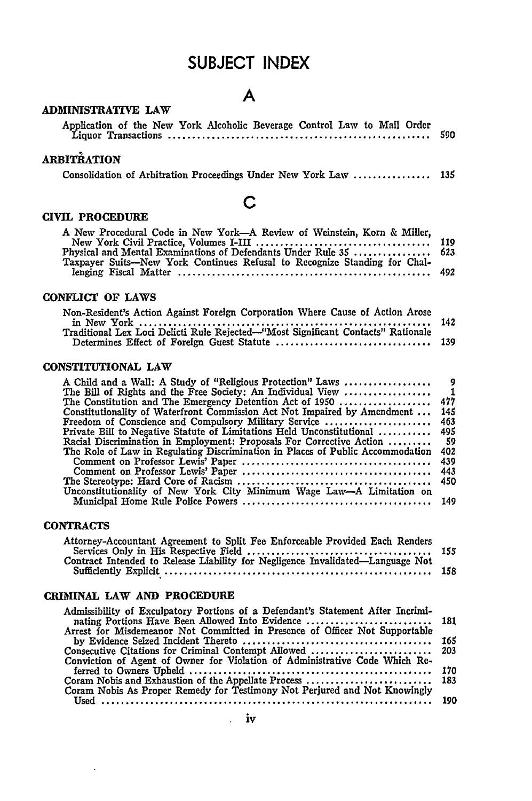## **SUBJECT INDEX**

**A**

#### **ADMINISTRATIVE LAW**

| ARBITRATION |  |
|-------------|--|

Consolidation of Arbitration Proceedings Under New York Law ................ **<sup>135</sup>**

#### **CIVIL PROCEDURE**

## **C**

| A New Procedural Code in New York-A Review of Weinstein, Korn & Miller,   |  |
|---------------------------------------------------------------------------|--|
|                                                                           |  |
| Physical and Mental Examinations of Defendants Under Rule 35  623         |  |
| Taxpayer Suits-New York Continues Refusal to Recognize Standing for Chal- |  |
|                                                                           |  |

#### **CONFLICT OF LAWS**

| Non-Resident's Action Against Foreign Corporation Where Cause of Action Arose    |  |
|----------------------------------------------------------------------------------|--|
|                                                                                  |  |
| Traditional Lex Loci Delicti Rule Rejected—"Most Significant Contacts" Rationale |  |
|                                                                                  |  |

#### **CONSTITUTIONAL LAW**

| 9              |
|----------------|
| $\blacksquare$ |
| 477            |
| 145            |
| 463            |
| 495            |
| - 59           |
| 402            |
| 439            |
| 443            |
| 450            |
|                |
| 149            |
|                |

#### **CONTRACTS**

 $\cdot$ 

| Attorney-Accountant Agreement to Split Fee Enforceable Provided Each Renders   |  |
|--------------------------------------------------------------------------------|--|
|                                                                                |  |
| Contract Intended to Release Liability for Negligence Invalidated—Language Not |  |
|                                                                                |  |

#### **CRIMINAL LAW AND PROCEDURE**

| Admissibility of Exculpatory Portions of a Defendant's Statement After Incrimi- |  |
|---------------------------------------------------------------------------------|--|
|                                                                                 |  |
| Arrest for Misdemeanor Not Committed in Presence of Officer Not Supportable     |  |
|                                                                                 |  |
|                                                                                 |  |
| Conviction of Agent of Owner for Violation of Administrative Code Which Re-     |  |
|                                                                                 |  |
|                                                                                 |  |
| Coram Nobis As Proper Remedy for Testimony Not Perjured and Not Knowingly       |  |
|                                                                                 |  |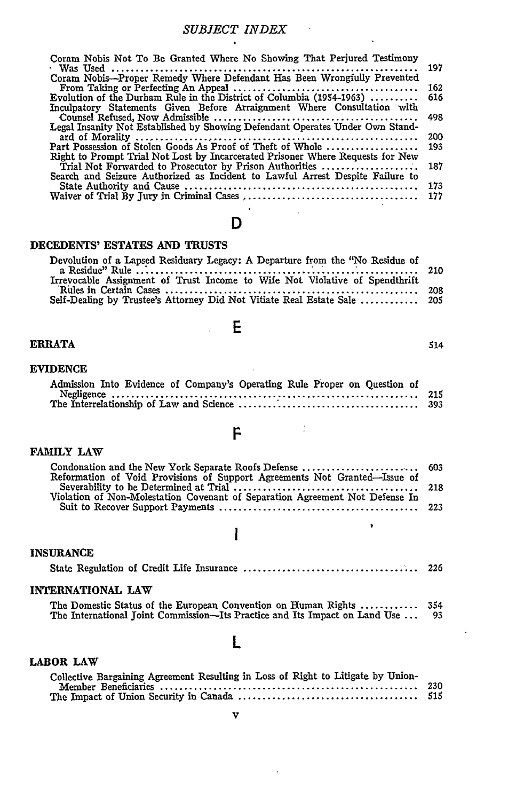$\sim$   $\lambda$ 

| Coram Nobis Not To Be Granted Where No Showing That Perjured Testimony         |     |
|--------------------------------------------------------------------------------|-----|
|                                                                                | 197 |
| Coram Nobis---Proper Remedy Where Defendant Has Been Wrongfully Prevented      |     |
|                                                                                | 162 |
| Evolution of the Durham Rule in the District of Columbia (1954-1963)           | 616 |
| Inculpatory Statements Given Before Arraignment Where Consultation with        |     |
|                                                                                | 498 |
| Legal Insanity Not Established by Showing Defendant Operates Under Own Stand-  |     |
|                                                                                | 200 |
| Part Possession of Stolen Goods As Proof of Theft of Whole                     | 193 |
| Right to Prompt Trial Not Lost by Incarcerated Prisoner Where Requests for New |     |
| Trial Not Forwarded to Prosecutor by Prison Authorities                        | 187 |
| Search and Seizure Authorized as Incident to Lawful Arrest Despite Failure to  |     |
|                                                                                | 173 |
|                                                                                | 177 |

## **D**

#### **DECEDENTS' ESTATES AND TRUSTS**

| Devolution of a Lapsed Residuary Legacy: A Departure from the "No Residue of |  |
|------------------------------------------------------------------------------|--|
|                                                                              |  |
| Irrevocable Assignment of Trust Income to Wife Not Violative of Spendthrift  |  |
|                                                                              |  |
|                                                                              |  |

**E**

#### ERRATA 514

#### **EVIDENCE**

## Admission Into Evidence of Company's Operating Rule Proper on Question of Negligence ................................................... 215 The Interrelationship of Law and Science **..................................... 393**

Ì,

#### FAMILY LAW

|  | I |  |
|--|---|--|
|  |   |  |

| Reformation of Void Provisions of Support Agreements Not Granted—Issue of    |  |
|------------------------------------------------------------------------------|--|
|                                                                              |  |
| Violation of Non-Molestation Covenant of Separation Agreement Not Defense In |  |
|                                                                              |  |

#### **INSURANCE**

| INTERNATIONAL LAW                                                                                                                                     |  |
|-------------------------------------------------------------------------------------------------------------------------------------------------------|--|
| The Domestic Status of the European Convention on Human Rights  354<br>The International Toint Commission—Its Practice and Its Impact on Land Use  93 |  |

I

### L

#### **LABOR LAW**

| Collective Bargaining Agreement Resulting in Loss of Right to Litigate by Union- |      |
|----------------------------------------------------------------------------------|------|
|                                                                                  | -230 |
|                                                                                  | 515  |